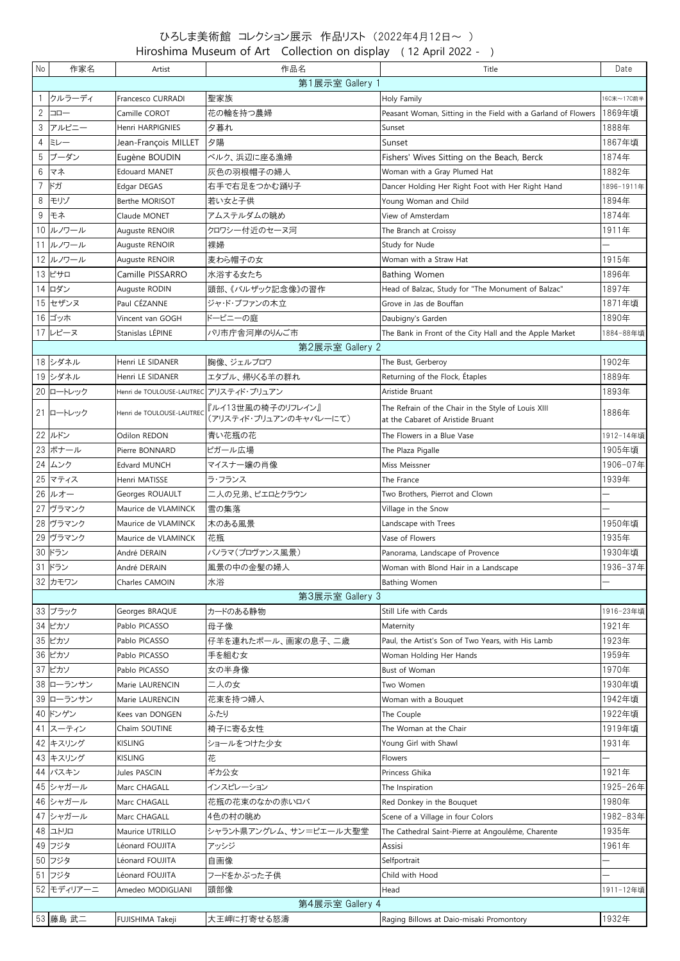## ひろしま美術館 コレクション展示 作品リスト (2022年4月12日~ ) Hiroshima Museum of Art Collection on display ( 12 April 2022 - )

| No              | 作家名             | Artist                                 | 作品名                    | Title                                                         | Date       |  |  |  |  |
|-----------------|-----------------|----------------------------------------|------------------------|---------------------------------------------------------------|------------|--|--|--|--|
| 第1展示室 Gallery 1 |                 |                                        |                        |                                                               |            |  |  |  |  |
|                 | クルラーディ          | Francesco CURRADI                      | 聖家族                    | Holy Family                                                   | 16C末~17C前半 |  |  |  |  |
| $\overline{2}$  | $\neg$          | Camille COROT                          | 花の輪を持つ農婦               | Peasant Woman, Sitting in the Field with a Garland of Flowers | 1869年頃     |  |  |  |  |
|                 | 3 アルピニー         | Henri HARPIGNIES                       | 夕暮れ                    | Sunset                                                        | 1888年      |  |  |  |  |
| 4               | ミレー             | Jean-François MILLET                   | 夕陽                     | Sunset                                                        | 1867年頃     |  |  |  |  |
|                 | 5 ブーダン          | Eugène BOUDIN                          | ベルク、浜辺に座る漁婦            | Fishers' Wives Sitting on the Beach, Berck                    | 1874年      |  |  |  |  |
| 6               | マネ              | <b>Edouard MANET</b>                   | 灰色の羽根帽子の婦人             | Woman with a Gray Plumed Hat                                  | 1882年      |  |  |  |  |
|                 | 7 ドガ            | Edgar DEGAS                            | 右手で右足をつかむ踊り子           | Dancer Holding Her Right Foot with Her Right Hand             | 1896-1911年 |  |  |  |  |
| 8               | モリゾ             | Berthe MORISOT                         | 若い女と子供                 | Young Woman and Child                                         | 1894年      |  |  |  |  |
| 9               | モネ              |                                        | アムステルダムの眺め             | View of Amsterdam                                             | 1874年      |  |  |  |  |
|                 |                 | Claude MONET                           |                        |                                                               |            |  |  |  |  |
|                 | 10 ルノワール        | Auguste RENOIR                         | クロワシー付近のセーヌ河           | The Branch at Croissy                                         | 1911年      |  |  |  |  |
|                 | 11 ルノワール        | Auguste RENOIR                         | 裸婦                     | Study for Nude                                                |            |  |  |  |  |
|                 | 12 ルノワール        | Auguste RENOIR                         | 麦わら帽子の女                | Woman with a Straw Hat                                        | 1915年      |  |  |  |  |
|                 | 13 ピサロ          | Camille PISSARRO                       | 水浴する女たち                | <b>Bathing Women</b>                                          | 1896年      |  |  |  |  |
|                 | 14 ロダン          | Auguste RODIN                          | 頭部、《バルザック記念像》の習作       | Head of Balzac, Study for "The Monument of Balzac"            | 1897年      |  |  |  |  |
|                 | 15 セザンヌ         | Paul CÉZANNE                           | ジャド・ブファンの木立            | Grove in Jas de Bouffan                                       | 1871年頃     |  |  |  |  |
|                 | 16 ゴッホ          | Vincent van GOGH                       | ドービニーの庭                | Daubigny's Garden                                             | 1890年      |  |  |  |  |
|                 | 17 レピーヌ         | Stanislas LÉPINE                       | パリ市庁舎河岸のりんご市           | The Bank in Front of the City Hall and the Apple Market       | 1884-88年頃  |  |  |  |  |
|                 |                 |                                        | 第2展示室 Gallery 2        |                                                               |            |  |  |  |  |
|                 | 18 シダネル         | Henri LE SIDANER                       | 胸像、ジェルブロワ              | The Bust, Gerberoy                                            | 1902年      |  |  |  |  |
|                 | 19 シダネル         | Henri LE SIDANER                       | エタプル、帰りくる羊の群れ          | Returning of the Flock, Étaples                               | 1889年      |  |  |  |  |
|                 | 20 ロートレック       | Henri de TOULOUSE-LAUTREC アリスティド・ブリュアン |                        | Aristide Bruant                                               | 1893年      |  |  |  |  |
|                 |                 |                                        | 『ルイ13世風の椅子のリフレイン』      | The Refrain of the Chair in the Style of Louis XIII           |            |  |  |  |  |
|                 | 21 ロートレック       | Henri de TOULOUSE-LAUTREC              | (アリスティド・ブリュアンのキャバレーにて) | at the Cabaret of Aristide Bruant                             | 1886年      |  |  |  |  |
|                 | 22 ルドン          | Odilon REDON                           | 青い花瓶の花                 | The Flowers in a Blue Vase                                    | 1912-14年頃  |  |  |  |  |
|                 | 23 ボナール         | Pierre BONNARD                         | ピガール広場                 | The Plaza Pigalle                                             | 1905年頃     |  |  |  |  |
|                 | 24 ムンク          | <b>Edvard MUNCH</b>                    | マイスナー嬢の肖像              | Miss Meissner                                                 | 1906-07年   |  |  |  |  |
|                 | 25 マティス         | Henri MATISSE                          | ラ・フランス                 | The France                                                    | 1939年      |  |  |  |  |
|                 | 26 ルオー          | Georges ROUAULT                        | 二人の兄弟、ピエロとクラウン         | Two Brothers, Pierrot and Clown                               |            |  |  |  |  |
|                 | 27 ヴラマンク        | Maurice de VLAMINCK                    | 雪の集落                   | Village in the Snow                                           |            |  |  |  |  |
|                 | 28 ヴラマンク        | Maurice de VLAMINCK                    | 木のある風景                 | Landscape with Trees                                          | 1950年頃     |  |  |  |  |
|                 | 29 ヴラマンク        | Maurice de VLAMINCK                    | 花瓶                     | Vase of Flowers                                               | 1935年      |  |  |  |  |
|                 | 30 ドラン          | André DERAIN                           | パノラマ(プロヴァンス風景)         | Panorama, Landscape of Provence                               | 1930年頃     |  |  |  |  |
|                 | 31 ドラン          | André DERAIN                           | 風景の中の金髪の婦人             | Woman with Blond Hair in a Landscape                          | 1936-37年   |  |  |  |  |
|                 | 32 カモワン         | Charles CAMOIN                         | 水浴                     | <b>Bathing Women</b>                                          |            |  |  |  |  |
|                 |                 |                                        | 第3展示室 Gallery 3        |                                                               |            |  |  |  |  |
|                 | 33 ブラック         | Georges BRAQUE                         | カードのある静物               | Still Life with Cards                                         | 1916-23年頃  |  |  |  |  |
|                 | 34 ピカソ          | Pablo PICASSO                          | 母子像                    | Maternity                                                     | 1921年      |  |  |  |  |
|                 | 35 ピカソ          | Pablo PICASSO                          | 仔羊を連れたポール、画家の息子、二歳     | Paul, the Artist's Son of Two Years, with His Lamb            | 1923年      |  |  |  |  |
|                 | 36 ピカソ          | Pablo PICASSO                          | 手を組む女                  | Woman Holding Her Hands                                       | 1959年      |  |  |  |  |
|                 | 37 ピカソ          | Pablo PICASSO                          | 女の半身像                  | Bust of Woman                                                 | 1970年      |  |  |  |  |
|                 | 38 ローランサン       | Marie LAURENCIN                        | 二人の女                   | Two Women                                                     | 1930年頃     |  |  |  |  |
|                 | 39 ローランサン       | Marie LAURENCIN                        | 花束を持つ婦人                | Woman with a Bouquet                                          | 1942年頃     |  |  |  |  |
|                 |                 |                                        |                        |                                                               |            |  |  |  |  |
|                 | 40 ドンゲン         | Kees van DONGEN                        | ふたり<br>椅子に寄る女性         | The Couple<br>The Woman at the Chair                          | 1922年頃     |  |  |  |  |
|                 | 41 スーティン        | Chaïm SOUTINE                          |                        |                                                               | 1919年頃     |  |  |  |  |
|                 | 42 キスリング        | <b>KISLING</b>                         | ショールをつけた少女             | Young Girl with Shawl                                         | 1931年      |  |  |  |  |
|                 | 43 キスリング        | <b>KISLING</b>                         | 花                      | Flowers                                                       |            |  |  |  |  |
|                 | 44 パスキン         | Jules PASCIN                           | ギカ公女                   | Princess Ghika                                                | 1921年      |  |  |  |  |
|                 | 45 シャガール        | Marc CHAGALL                           | インスピレーション              | The Inspiration                                               | 1925-26年   |  |  |  |  |
|                 | 46 シャガール        | Marc CHAGALL                           | 花瓶の花束のなかの赤いロバ          | Red Donkey in the Bouquet                                     | 1980年      |  |  |  |  |
|                 | 47 シャガール        | Marc CHAGALL                           | 4色の村の眺め                | Scene of a Village in four Colors                             | 1982-83年   |  |  |  |  |
|                 | 48 그 니          | Maurice UTRILLO                        | シャラント県アングレム、サン=ピエール大聖堂 | The Cathedral Saint-Pierre at Angoulême, Charente             | 1935年      |  |  |  |  |
|                 | 49 フジタ          | Léonard FOUJITA                        | アッシジ                   | Assisi                                                        | 1961年      |  |  |  |  |
|                 | 50 フジタ          | Léonard FOUJITA                        | 自画像                    | Selfportrait                                                  |            |  |  |  |  |
|                 | 51 フジタ          | Léonard FOUJITA                        | フードをかぶった子供             | Child with Hood                                               |            |  |  |  |  |
|                 | 52 モディリアーニ      | Amedeo MODIGLIANI                      | 頭部像                    | Head                                                          | 1911-12年頃  |  |  |  |  |
|                 | 第4展示室 Gallery 4 |                                        |                        |                                                               |            |  |  |  |  |
|                 | 53 藤島 武二        | FUJISHIMA Takeji                       | 大王岬に打寄せる怒濤             | Raging Billows at Daio-misaki Promontory                      | 1932年      |  |  |  |  |